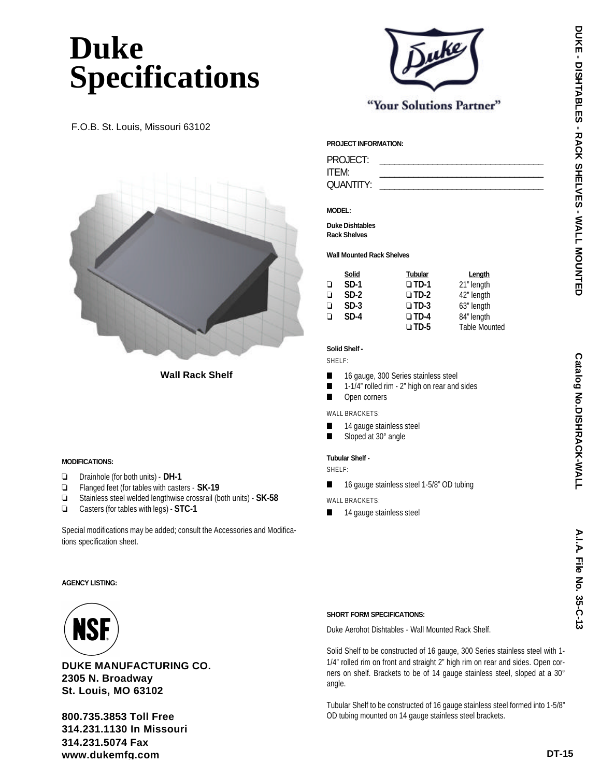# **Duke Specifications**

F.O.B. St. Louis, Missouri 63102



**Wall Rack Shelf**

## **MODIFICATIONS:**

- ❏ Drainhole (for both units) **DH-1**
- ❏ Flanged feet (for tables with casters **SK-19**
- ❏ Stainless steel welded lengthwise crossrail (both units) **SK-58**
- ❏ Casters (for tables with legs) **STC-1**

Special modifications may be added; consult the Accessories and Modifications specification sheet.

## **PROJECT INFORMATION:**

PROJECT: ITEM: \_\_\_\_\_\_\_\_\_\_\_\_\_\_\_\_\_\_\_\_\_\_\_\_\_\_\_\_\_\_\_\_\_\_ QUANTITY:

## **MODEL:**

**Duke Dishtables Rack Shelves**

#### **Wall Mounted Rack Shelves**

|   | Solid  | <b>Tubular</b> | Length               |
|---|--------|----------------|----------------------|
| ⊔ | $SD-1$ | $\square$ TD-1 | 21" length           |
| ⊔ | $SD-2$ | $\square$ TD-2 | 42" length           |
| ⊔ | $SD-3$ | $\square$ TD-3 | 63" length           |
| □ | $SD-4$ | $\square$ TD-4 | 84" length           |
|   |        | $\square$ TD-5 | <b>Table Mounted</b> |

"Your Solutions Partner"

### **Solid Shelf -**

SHELF:

- 16 gauge, 300 Series stainless steel
- 1-1/4" rolled rim 2" high on rear and sides
- Open corners
- WALL BRACKETS:
- 14 gauge stainless steel
- Sloped at 30° angle

#### **Tubular Shelf -**

SHELF:

- 16 gauge stainless steel 1-5/8" OD tubing
- WALL BRACKETS:
- 14 gauge stainless steel

**AGENCY LISTING:**



**DUKE MANUFACTURING CO. 2305 N. Broadway St. Louis, MO 63102**

**800.735.3853 Toll Free 314.231.1130 In Missouri 314.231.5074 Fax www.dukemfg.com**

## **SHORT FORM SPECIFICATIONS:**

Duke Aerohot Dishtables - Wall Mounted Rack Shelf.

Solid Shelf to be constructed of 16 gauge, 300 Series stainless steel with 1- 1/4" rolled rim on front and straight 2" high rim on rear and sides. Open corners on shelf. Brackets to be of 14 gauge stainless steel, sloped at a 30° angle.

Tubular Shelf to be constructed of 16 gauge stainless steel formed into 1-5/8" OD tubing mounted on 14 gauge stainless steel brackets.



**A.I.A.**

**C atalo g**

**N N ZO.DISHRACK-WALL** 

**File N o.**

**3 5-C-13**